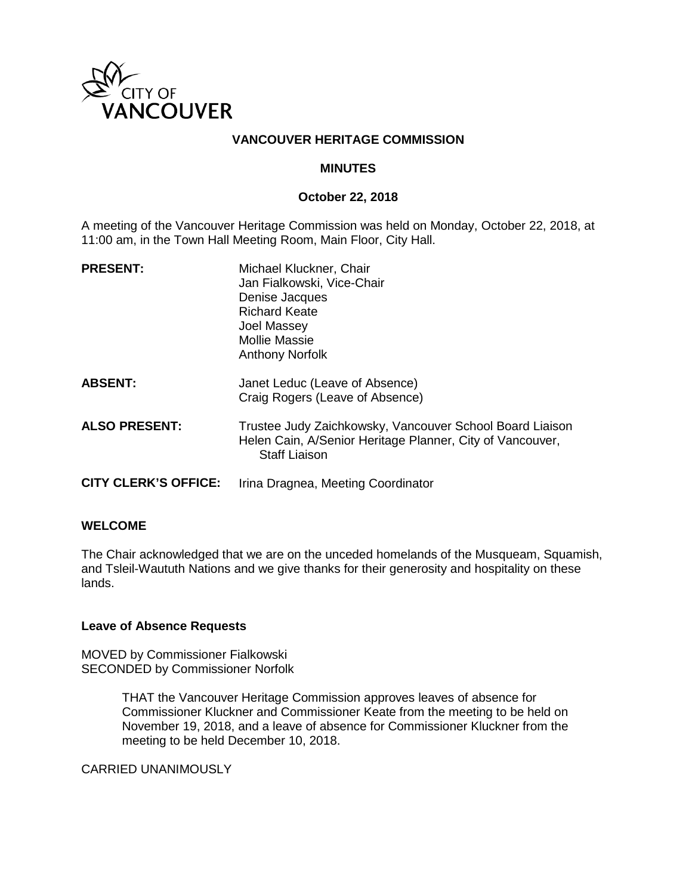

## **VANCOUVER HERITAGE COMMISSION**

#### **MINUTES**

#### **October 22, 2018**

A meeting of the Vancouver Heritage Commission was held on Monday, October 22, 2018, at 11:00 am, in the Town Hall Meeting Room, Main Floor, City Hall.

| <b>PRESENT:</b>             | Michael Kluckner, Chair<br>Jan Fialkowski, Vice-Chair<br>Denise Jacques<br><b>Richard Keate</b><br>Joel Massey<br><b>Mollie Massie</b><br><b>Anthony Norfolk</b> |
|-----------------------------|------------------------------------------------------------------------------------------------------------------------------------------------------------------|
| <b>ABSENT:</b>              | Janet Leduc (Leave of Absence)<br>Craig Rogers (Leave of Absence)                                                                                                |
| <b>ALSO PRESENT:</b>        | Trustee Judy Zaichkowsky, Vancouver School Board Liaison<br>Helen Cain, A/Senior Heritage Planner, City of Vancouver,<br><b>Staff Liaison</b>                    |
| <b>CITY CLERK'S OFFICE:</b> | Irina Dragnea, Meeting Coordinator                                                                                                                               |

#### **WELCOME**

The Chair acknowledged that we are on the unceded homelands of the Musqueam, Squamish, and Tsleil-Waututh Nations and we give thanks for their generosity and hospitality on these lands.

#### **Leave of Absence Requests**

MOVED by Commissioner Fialkowski SECONDED by Commissioner Norfolk

> THAT the Vancouver Heritage Commission approves leaves of absence for Commissioner Kluckner and Commissioner Keate from the meeting to be held on November 19, 2018, and a leave of absence for Commissioner Kluckner from the meeting to be held December 10, 2018.

CARRIED UNANIMOUSLY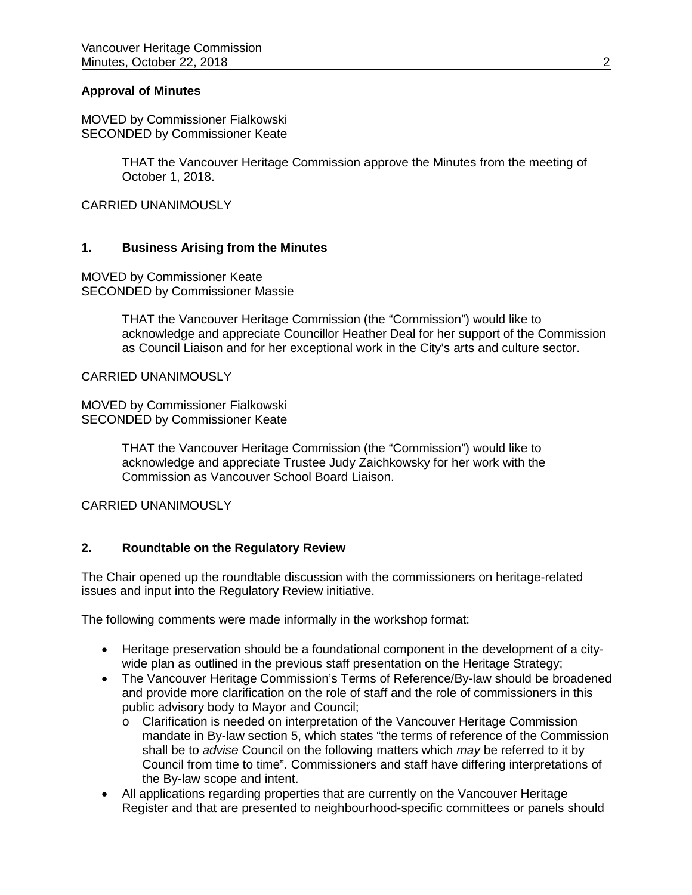#### **Approval of Minutes**

MOVED by Commissioner Fialkowski SECONDED by Commissioner Keate

> THAT the Vancouver Heritage Commission approve the Minutes from the meeting of October 1, 2018.

CARRIED UNANIMOUSLY

### **1. Business Arising from the Minutes**

MOVED by Commissioner Keate SECONDED by Commissioner Massie

> THAT the Vancouver Heritage Commission (the "Commission") would like to acknowledge and appreciate Councillor Heather Deal for her support of the Commission as Council Liaison and for her exceptional work in the City's arts and culture sector.

CARRIED UNANIMOUSLY

MOVED by Commissioner Fialkowski SECONDED by Commissioner Keate

> THAT the Vancouver Heritage Commission (the "Commission") would like to acknowledge and appreciate Trustee Judy Zaichkowsky for her work with the Commission as Vancouver School Board Liaison.

CARRIED UNANIMOUSLY

## **2. Roundtable on the Regulatory Review**

The Chair opened up the roundtable discussion with the commissioners on heritage-related issues and input into the Regulatory Review initiative.

The following comments were made informally in the workshop format:

- Heritage preservation should be a foundational component in the development of a citywide plan as outlined in the previous staff presentation on the Heritage Strategy;
- The Vancouver Heritage Commission's Terms of Reference/By-law should be broadened and provide more clarification on the role of staff and the role of commissioners in this public advisory body to Mayor and Council;
	- o Clarification is needed on interpretation of the Vancouver Heritage Commission mandate in By-law section 5, which states "the terms of reference of the Commission shall be to *advise* Council on the following matters which *may* be referred to it by Council from time to time". Commissioners and staff have differing interpretations of the By-law scope and intent.
- All applications regarding properties that are currently on the Vancouver Heritage Register and that are presented to neighbourhood-specific committees or panels should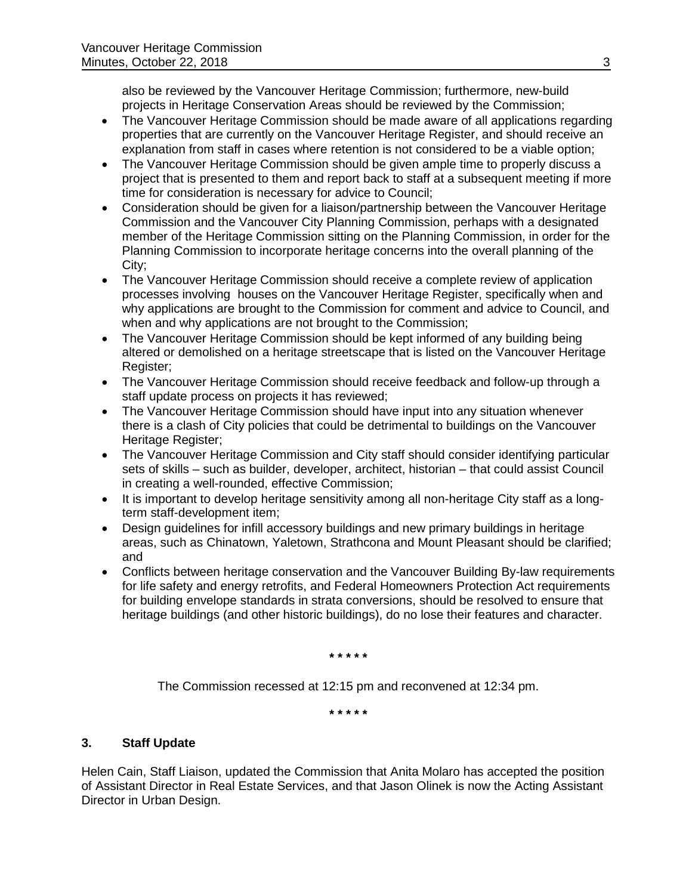also be reviewed by the Vancouver Heritage Commission; furthermore, new-build projects in Heritage Conservation Areas should be reviewed by the Commission;

- The Vancouver Heritage Commission should be made aware of all applications regarding properties that are currently on the Vancouver Heritage Register, and should receive an explanation from staff in cases where retention is not considered to be a viable option;
- The Vancouver Heritage Commission should be given ample time to properly discuss a project that is presented to them and report back to staff at a subsequent meeting if more time for consideration is necessary for advice to Council;
- Consideration should be given for a liaison/partnership between the Vancouver Heritage Commission and the Vancouver City Planning Commission, perhaps with a designated member of the Heritage Commission sitting on the Planning Commission, in order for the Planning Commission to incorporate heritage concerns into the overall planning of the City;
- The Vancouver Heritage Commission should receive a complete review of application processes involving houses on the Vancouver Heritage Register, specifically when and why applications are brought to the Commission for comment and advice to Council, and when and why applications are not brought to the Commission;
- The Vancouver Heritage Commission should be kept informed of any building being altered or demolished on a heritage streetscape that is listed on the Vancouver Heritage Register;
- The Vancouver Heritage Commission should receive feedback and follow-up through a staff update process on projects it has reviewed;
- The Vancouver Heritage Commission should have input into any situation whenever there is a clash of City policies that could be detrimental to buildings on the Vancouver Heritage Register;
- The Vancouver Heritage Commission and City staff should consider identifying particular sets of skills – such as builder, developer, architect, historian – that could assist Council in creating a well-rounded, effective Commission;
- It is important to develop heritage sensitivity among all non-heritage City staff as a longterm staff-development item;
- Design guidelines for infill accessory buildings and new primary buildings in heritage areas, such as Chinatown, Yaletown, Strathcona and Mount Pleasant should be clarified; and
- Conflicts between heritage conservation and the Vancouver Building By-law requirements for life safety and energy retrofits, and Federal Homeowners Protection Act requirements for building envelope standards in strata conversions, should be resolved to ensure that heritage buildings (and other historic buildings), do no lose their features and character.

**\* \* \* \* \***

The Commission recessed at 12:15 pm and reconvened at 12:34 pm.

**\* \* \* \* \***

## **3. Staff Update**

Helen Cain, Staff Liaison, updated the Commission that Anita Molaro has accepted the position of Assistant Director in Real Estate Services, and that Jason Olinek is now the Acting Assistant Director in Urban Design.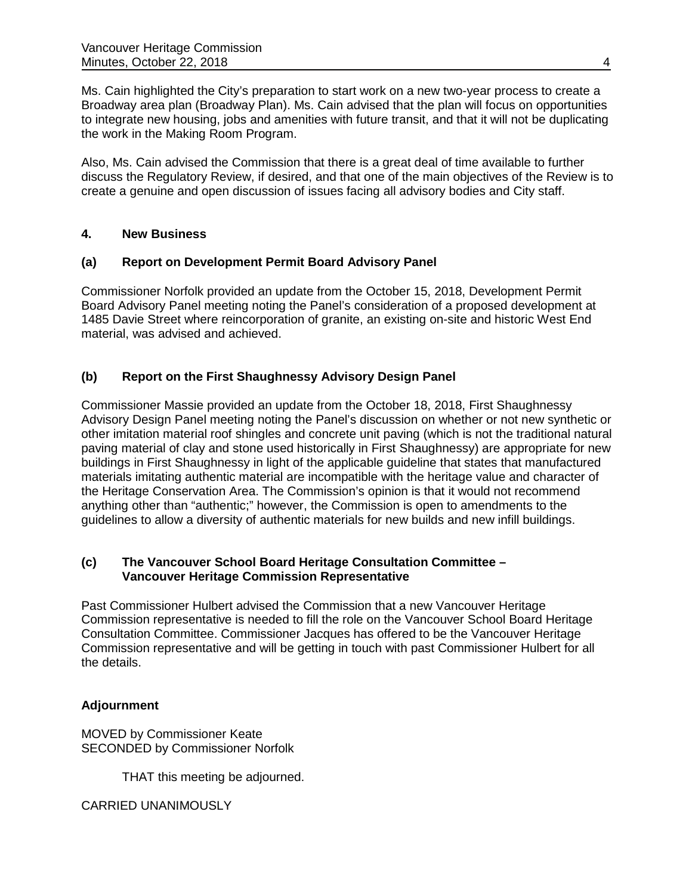Ms. Cain highlighted the City's preparation to start work on a new two-year process to create a Broadway area plan (Broadway Plan). Ms. Cain advised that the plan will focus on opportunities to integrate new housing, jobs and amenities with future transit, and that it will not be duplicating the work in the Making Room Program.

Also, Ms. Cain advised the Commission that there is a great deal of time available to further discuss the Regulatory Review, if desired, and that one of the main objectives of the Review is to create a genuine and open discussion of issues facing all advisory bodies and City staff.

# **4. New Business**

## **(a) Report on Development Permit Board Advisory Panel**

Commissioner Norfolk provided an update from the October 15, 2018, Development Permit Board Advisory Panel meeting noting the Panel's consideration of a proposed development at 1485 Davie Street where reincorporation of granite, an existing on-site and historic West End material, was advised and achieved.

# **(b) Report on the First Shaughnessy Advisory Design Panel**

Commissioner Massie provided an update from the October 18, 2018, First Shaughnessy Advisory Design Panel meeting noting the Panel's discussion on whether or not new synthetic or other imitation material roof shingles and concrete unit paving (which is not the traditional natural paving material of clay and stone used historically in First Shaughnessy) are appropriate for new buildings in First Shaughnessy in light of the applicable guideline that states that manufactured materials imitating authentic material are incompatible with the heritage value and character of the Heritage Conservation Area. The Commission's opinion is that it would not recommend anything other than "authentic;" however, the Commission is open to amendments to the guidelines to allow a diversity of authentic materials for new builds and new infill buildings.

## **(c) The Vancouver School Board Heritage Consultation Committee – Vancouver Heritage Commission Representative**

Past Commissioner Hulbert advised the Commission that a new Vancouver Heritage Commission representative is needed to fill the role on the Vancouver School Board Heritage Consultation Committee. Commissioner Jacques has offered to be the Vancouver Heritage Commission representative and will be getting in touch with past Commissioner Hulbert for all the details.

# **Adjournment**

MOVED by Commissioner Keate SECONDED by Commissioner Norfolk

THAT this meeting be adjourned.

CARRIED UNANIMOUSLY